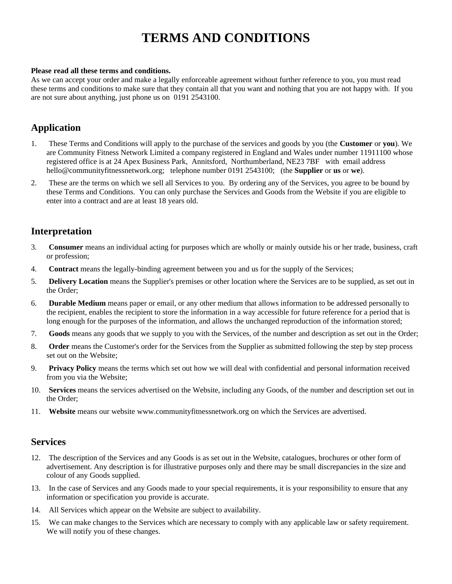# **TERMS AND CONDITIONS**

#### **Please read all these terms and conditions.**

As we can accept your order and make a legally enforceable agreement without further reference to you, you must read these terms and conditions to make sure that they contain all that you want and nothing that you are not happy with. If you are not sure about anything, just phone us on 0191 2543100.

### **Application**

- 1. These Terms and Conditions will apply to the purchase of the services and goods by you (the **Customer** or **you**). We are Community Fitness Network Limited a company registered in England and Wales under number 11911100 whose registered office is at 24 Apex Business Park, Annitsford, Northumberland, NE23 7BF with email address hello@communityfitnessnetwork.org; telephone number 0191 2543100; (the **Supplier** or **us** or **we**).
- 2. These are the terms on which we sell all Services to you. By ordering any of the Services, you agree to be bound by these Terms and Conditions. You can only purchase the Services and Goods from the Website if you are eligible to enter into a contract and are at least 18 years old.

### **Interpretation**

- 3. **Consumer** means an individual acting for purposes which are wholly or mainly outside his or her trade, business, craft or profession;
- 4. **Contract** means the legally-binding agreement between you and us for the supply of the Services;
- 5. **Delivery Location** means the Supplier's premises or other location where the Services are to be supplied, as set out in the Order;
- 6. **Durable Medium** means paper or email, or any other medium that allows information to be addressed personally to the recipient, enables the recipient to store the information in a way accessible for future reference for a period that is long enough for the purposes of the information, and allows the unchanged reproduction of the information stored;
- 7. **Goods** means any goods that we supply to you with the Services, of the number and description as set out in the Order;
- 8. **Order** means the Customer's order for the Services from the Supplier as submitted following the step by step process set out on the Website;
- 9. **Privacy Policy** means the terms which set out how we will deal with confidential and personal information received from you via the Website;
- 10. **Services** means the services advertised on the Website, including any Goods, of the number and description set out in the Order;
- 11. **Website** means our website www.communityfitnessnetwork.org on which the Services are advertised.

### **Services**

- 12. The description of the Services and any Goods is as set out in the Website, catalogues, brochures or other form of advertisement. Any description is for illustrative purposes only and there may be small discrepancies in the size and colour of any Goods supplied.
- 13. In the case of Services and any Goods made to your special requirements, it is your responsibility to ensure that any information or specification you provide is accurate.
- 14. All Services which appear on the Website are subject to availability.
- 15. We can make changes to the Services which are necessary to comply with any applicable law or safety requirement. We will notify you of these changes.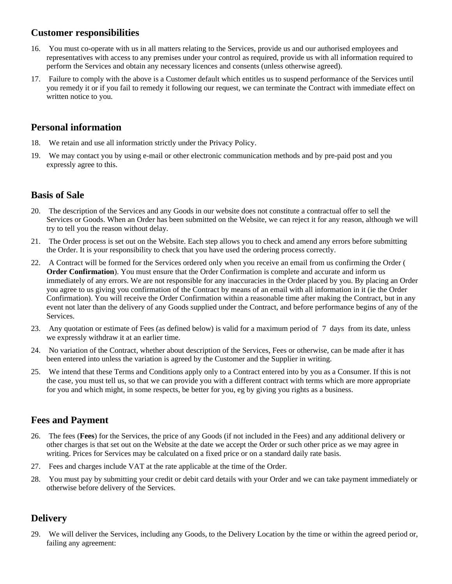### **Customer responsibilities**

- 16. You must co-operate with us in all matters relating to the Services, provide us and our authorised employees and representatives with access to any premises under your control as required, provide us with all information required to perform the Services and obtain any necessary licences and consents (unless otherwise agreed).
- 17. Failure to comply with the above is a Customer default which entitles us to suspend performance of the Services until you remedy it or if you fail to remedy it following our request, we can terminate the Contract with immediate effect on written notice to you.

# **Personal information**

- 18. We retain and use all information strictly under the Privacy Policy.
- 19. We may contact you by using e-mail or other electronic communication methods and by pre-paid post and you expressly agree to this.

# **Basis of Sale**

- 20. The description of the Services and any Goods in our website does not constitute a contractual offer to sell the Services or Goods. When an Order has been submitted on the Website, we can reject it for any reason, although we will try to tell you the reason without delay.
- 21. The Order process is set out on the Website. Each step allows you to check and amend any errors before submitting the Order. It is your responsibility to check that you have used the ordering process correctly.
- 22. A Contract will be formed for the Services ordered only when you receive an email from us confirming the Order ( **Order Confirmation**). You must ensure that the Order Confirmation is complete and accurate and inform us immediately of any errors. We are not responsible for any inaccuracies in the Order placed by you. By placing an Order you agree to us giving you confirmation of the Contract by means of an email with all information in it (ie the Order Confirmation). You will receive the Order Confirmation within a reasonable time after making the Contract, but in any event not later than the delivery of any Goods supplied under the Contract, and before performance begins of any of the Services.
- 23. Any quotation or estimate of Fees (as defined below) is valid for a maximum period of 7 days from its date, unless we expressly withdraw it at an earlier time.
- 24. No variation of the Contract, whether about description of the Services, Fees or otherwise, can be made after it has been entered into unless the variation is agreed by the Customer and the Supplier in writing.
- 25. We intend that these Terms and Conditions apply only to a Contract entered into by you as a Consumer. If this is not the case, you must tell us, so that we can provide you with a different contract with terms which are more appropriate for you and which might, in some respects, be better for you, eg by giving you rights as a business.

# **Fees and Payment**

- 26. The fees (**Fees**) for the Services, the price of any Goods (if not included in the Fees) and any additional delivery or other charges is that set out on the Website at the date we accept the Order or such other price as we may agree in writing. Prices for Services may be calculated on a fixed price or on a standard daily rate basis.
- 27. Fees and charges include VAT at the rate applicable at the time of the Order.
- 28. You must pay by submitting your credit or debit card details with your Order and we can take payment immediately or otherwise before delivery of the Services.

# **Delivery**

29. We will deliver the Services, including any Goods, to the Delivery Location by the time or within the agreed period or, failing any agreement: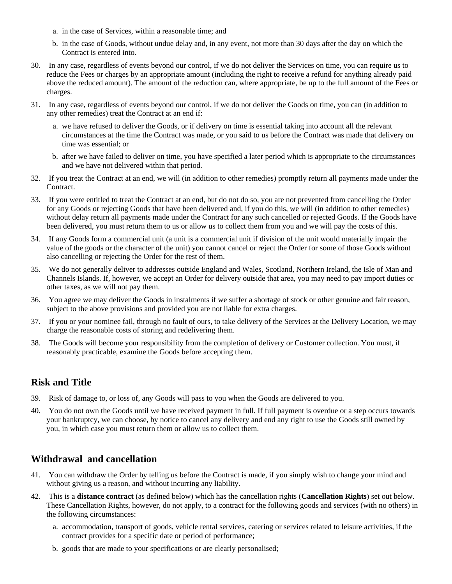- a. in the case of Services, within a reasonable time; and
- b. in the case of Goods, without undue delay and, in any event, not more than 30 days after the day on which the Contract is entered into.
- 30. In any case, regardless of events beyond our control, if we do not deliver the Services on time, you can require us to reduce the Fees or charges by an appropriate amount (including the right to receive a refund for anything already paid above the reduced amount). The amount of the reduction can, where appropriate, be up to the full amount of the Fees or charges.
- 31. In any case, regardless of events beyond our control, if we do not deliver the Goods on time, you can (in addition to any other remedies) treat the Contract at an end if:
	- a. we have refused to deliver the Goods, or if delivery on time is essential taking into account all the relevant circumstances at the time the Contract was made, or you said to us before the Contract was made that delivery on time was essential; or
	- b. after we have failed to deliver on time, you have specified a later period which is appropriate to the circumstances and we have not delivered within that period.
- 32. If you treat the Contract at an end, we will (in addition to other remedies) promptly return all payments made under the Contract.
- 33. If you were entitled to treat the Contract at an end, but do not do so, you are not prevented from cancelling the Order for any Goods or rejecting Goods that have been delivered and, if you do this, we will (in addition to other remedies) without delay return all payments made under the Contract for any such cancelled or rejected Goods. If the Goods have been delivered, you must return them to us or allow us to collect them from you and we will pay the costs of this.
- 34. If any Goods form a commercial unit (a unit is a commercial unit if division of the unit would materially impair the value of the goods or the character of the unit) you cannot cancel or reject the Order for some of those Goods without also cancelling or rejecting the Order for the rest of them.
- 35. We do not generally deliver to addresses outside England and Wales, Scotland, Northern Ireland, the Isle of Man and Channels Islands. If, however, we accept an Order for delivery outside that area, you may need to pay import duties or other taxes, as we will not pay them.
- 36. You agree we may deliver the Goods in instalments if we suffer a shortage of stock or other genuine and fair reason, subject to the above provisions and provided you are not liable for extra charges.
- 37. If you or your nominee fail, through no fault of ours, to take delivery of the Services at the Delivery Location, we may charge the reasonable costs of storing and redelivering them.
- 38. The Goods will become your responsibility from the completion of delivery or Customer collection. You must, if reasonably practicable, examine the Goods before accepting them.

# **Risk and Title**

- 39. Risk of damage to, or loss of, any Goods will pass to you when the Goods are delivered to you.
- 40. You do not own the Goods until we have received payment in full. If full payment is overdue or a step occurs towards your bankruptcy, we can choose, by notice to cancel any delivery and end any right to use the Goods still owned by you, in which case you must return them or allow us to collect them.

# **Withdrawal and cancellation**

- 41. You can withdraw the Order by telling us before the Contract is made, if you simply wish to change your mind and without giving us a reason, and without incurring any liability.
- 42. This is a **distance contract** (as defined below) which has the cancellation rights (**Cancellation Rights**) set out below. These Cancellation Rights, however, do not apply, to a contract for the following goods and services (with no others) in the following circumstances:
	- a. accommodation, transport of goods, vehicle rental services, catering or services related to leisure activities, if the contract provides for a specific date or period of performance;
	- b. goods that are made to your specifications or are clearly personalised;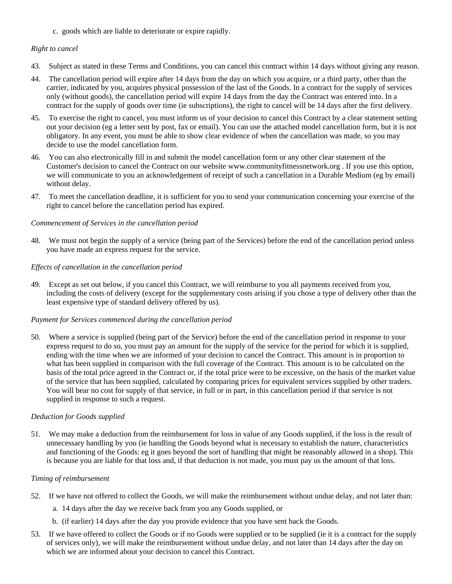c. goods which are liable to deteriorate or expire rapidly.

#### *Right to cancel*

- 43. Subject as stated in these Terms and Conditions, you can cancel this contract within 14 days without giving any reason.
- 44. The cancellation period will expire after 14 days from the day on which you acquire, or a third party, other than the carrier, indicated by you, acquires physical possession of the last of the Goods. In a contract for the supply of services only (without goods), the cancellation period will expire 14 days from the day the Contract was entered into. In a contract for the supply of goods over time (ie subscriptions), the right to cancel will be 14 days after the first delivery.
- 45. To exercise the right to cancel, you must inform us of your decision to cancel this Contract by a clear statement setting out your decision (eg a letter sent by post, fax or email). You can use the attached model cancellation form, but it is not obligatory. In any event, you must be able to show clear evidence of when the cancellation was made, so you may decide to use the model cancellation form.
- 46. You can also electronically fill in and submit the model cancellation form or any other clear statement of the Customer's decision to cancel the Contract on our website www.communityfitnessnetwork.org . If you use this option, we will communicate to you an acknowledgement of receipt of such a cancellation in a Durable Medium (eg by email) without delay.
- 47. To meet the cancellation deadline, it is sufficient for you to send your communication concerning your exercise of the right to cancel before the cancellation period has expired.

#### *Commencement of Services in the cancellation period*

48. We must not begin the supply of a service (being part of the Services) before the end of the cancellation period unless you have made an express request for the service.

#### *Effects of cancellation in the cancellation period*

49. Except as set out below, if you cancel this Contract, we will reimburse to you all payments received from you, including the costs of delivery (except for the supplementary costs arising if you chose a type of delivery other than the least expensive type of standard delivery offered by us).

#### *Payment for Services commenced during the cancellation period*

50. Where a service is supplied (being part of the Service) before the end of the cancellation period in response to your express request to do so, you must pay an amount for the supply of the service for the period for which it is supplied, ending with the time when we are informed of your decision to cancel the Contract. This amount is in proportion to what has been supplied in comparison with the full coverage of the Contract. This amount is to be calculated on the basis of the total price agreed in the Contract or, if the total price were to be excessive, on the basis of the market value of the service that has been supplied, calculated by comparing prices for equivalent services supplied by other traders. You will bear no cost for supply of that service, in full or in part, in this cancellation period if that service is not supplied in response to such a request.

#### *Deduction for Goods supplied*

51. We may make a deduction from the reimbursement for loss in value of any Goods supplied, if the loss is the result of unnecessary handling by you (ie handling the Goods beyond what is necessary to establish the nature, characteristics and functioning of the Goods: eg it goes beyond the sort of handling that might be reasonably allowed in a shop). This is because you are liable for that loss and, if that deduction is not made, you must pay us the amount of that loss.

#### *Timing of reimbursement*

- 52. If we have not offered to collect the Goods, we will make the reimbursement without undue delay, and not later than:
	- a. 14 days after the day we receive back from you any Goods supplied, or
	- b. (if earlier) 14 days after the day you provide evidence that you have sent back the Goods.
- 53. If we have offered to collect the Goods or if no Goods were supplied or to be supplied (ie it is a contract for the supply of services only), we will make the reimbursement without undue delay, and not later than 14 days after the day on which we are informed about your decision to cancel this Contract.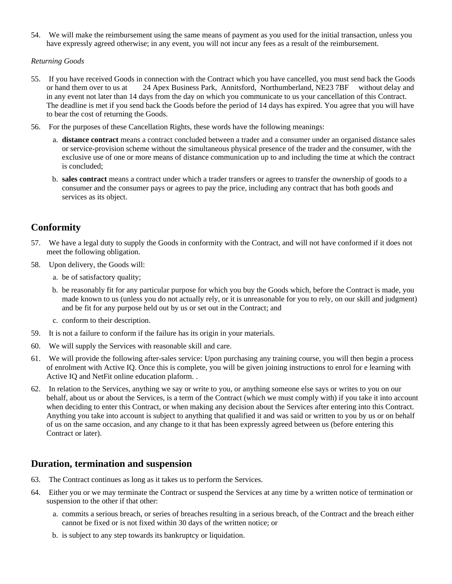54. We will make the reimbursement using the same means of payment as you used for the initial transaction, unless you have expressly agreed otherwise; in any event, you will not incur any fees as a result of the reimbursement.

*Returning Goods*

- 55. If you have received Goods in connection with the Contract which you have cancelled, you must send back the Goods or hand them over to us at 24 Apex Business Park, Annitsford, Northumberland, NE23 7BF without delay and in any event not later than 14 days from the day on which you communicate to us your cancellation of this Contract. The deadline is met if you send back the Goods before the period of 14 days has expired. You agree that you will have to bear the cost of returning the Goods.
- 56. For the purposes of these Cancellation Rights, these words have the following meanings:
	- a. **distance contract** means a contract concluded between a trader and a consumer under an organised distance sales or service-provision scheme without the simultaneous physical presence of the trader and the consumer, with the exclusive use of one or more means of distance communication up to and including the time at which the contract is concluded;
	- b. **sales contract** means a contract under which a trader transfers or agrees to transfer the ownership of goods to a consumer and the consumer pays or agrees to pay the price, including any contract that has both goods and services as its object.

# **Conformity**

- 57. We have a legal duty to supply the Goods in conformity with the Contract, and will not have conformed if it does not meet the following obligation.
- 58. Upon delivery, the Goods will:
	- a. be of satisfactory quality;
	- b. be reasonably fit for any particular purpose for which you buy the Goods which, before the Contract is made, you made known to us (unless you do not actually rely, or it is unreasonable for you to rely, on our skill and judgment) and be fit for any purpose held out by us or set out in the Contract; and
	- c. conform to their description.
- 59. It is not a failure to conform if the failure has its origin in your materials.
- 60. We will supply the Services with reasonable skill and care.
- 61. We will provide the following after-sales service: Upon purchasing any training course, you will then begin a process of enrolment with Active IQ. Once this is complete, you will be given joining instructions to enrol for e learning with Active IQ and NetFit online education plaform. .
- 62. In relation to the Services, anything we say or write to you, or anything someone else says or writes to you on our behalf, about us or about the Services, is a term of the Contract (which we must comply with) if you take it into account when deciding to enter this Contract, or when making any decision about the Services after entering into this Contract. Anything you take into account is subject to anything that qualified it and was said or written to you by us or on behalf of us on the same occasion, and any change to it that has been expressly agreed between us (before entering this Contract or later).

### **Duration, termination and suspension**

- 63. The Contract continues as long as it takes us to perform the Services.
- 64. Either you or we may terminate the Contract or suspend the Services at any time by a written notice of termination or suspension to the other if that other:
	- a. commits a serious breach, or series of breaches resulting in a serious breach, of the Contract and the breach either cannot be fixed or is not fixed within 30 days of the written notice; or
	- b. is subject to any step towards its bankruptcy or liquidation.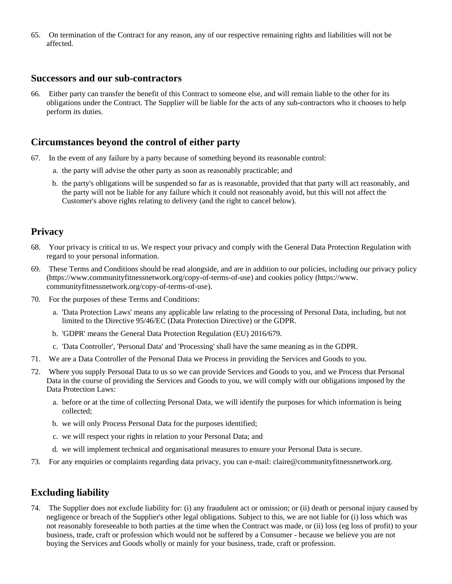65. On termination of the Contract for any reason, any of our respective remaining rights and liabilities will not be affected.

### **Successors and our sub-contractors**

66. Either party can transfer the benefit of this Contract to someone else, and will remain liable to the other for its obligations under the Contract. The Supplier will be liable for the acts of any sub-contractors who it chooses to help perform its duties.

### **Circumstances beyond the control of either party**

- 67. In the event of any failure by a party because of something beyond its reasonable control:
	- a. the party will advise the other party as soon as reasonably practicable; and
	- b. the party's obligations will be suspended so far as is reasonable, provided that that party will act reasonably, and the party will not be liable for any failure which it could not reasonably avoid, but this will not affect the Customer's above rights relating to delivery (and the right to cancel below).

### **Privacy**

- 68. Your privacy is critical to us. We respect your privacy and comply with the General Data Protection Regulation with regard to your personal information.
- 69. These Terms and Conditions should be read alongside, and are in addition to our policies, including our privacy policy (https://www.communityfitnessnetwork.org/copy-of-terms-of-use) and cookies policy (https://www. communityfitnessnetwork.org/copy-of-terms-of-use).
- 70. For the purposes of these Terms and Conditions:
	- a. 'Data Protection Laws' means any applicable law relating to the processing of Personal Data, including, but not limited to the Directive 95/46/EC (Data Protection Directive) or the GDPR.
	- b. 'GDPR' means the General Data Protection Regulation (EU) 2016/679.
	- c. 'Data Controller', 'Personal Data' and 'Processing' shall have the same meaning as in the GDPR.
- 71. We are a Data Controller of the Personal Data we Process in providing the Services and Goods to you.
- 72. Where you supply Personal Data to us so we can provide Services and Goods to you, and we Process that Personal Data in the course of providing the Services and Goods to you, we will comply with our obligations imposed by the Data Protection Laws:
	- a. before or at the time of collecting Personal Data, we will identify the purposes for which information is being collected;
	- b. we will only Process Personal Data for the purposes identified;
	- c. we will respect your rights in relation to your Personal Data; and
	- d. we will implement technical and organisational measures to ensure your Personal Data is secure.
- 73. For any enquiries or complaints regarding data privacy, you can e-mail: claire@communityfitnessnetwork.org.

# **Excluding liability**

74. The Supplier does not exclude liability for: (i) any fraudulent act or omission; or (ii) death or personal injury caused by negligence or breach of the Supplier's other legal obligations. Subject to this, we are not liable for (i) loss which was not reasonably foreseeable to both parties at the time when the Contract was made, or (ii) loss (eg loss of profit) to your business, trade, craft or profession which would not be suffered by a Consumer - because we believe you are not buying the Services and Goods wholly or mainly for your business, trade, craft or profession.